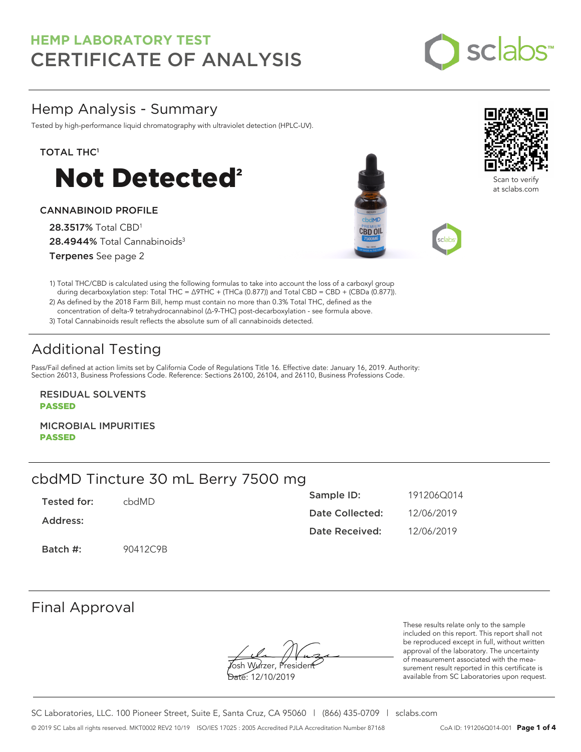

## Hemp Analysis - Summary

Tested by high-performance liquid chromatography with ultraviolet detection (HPLC-UV).

### TOTAL THC<sup>1</sup>



### CANNABINOID PROFILE

28.3517% Total CBD<sup>1</sup> 28.4944% Total Cannabinoids<sup>3</sup> Terpenes See page 2





Scan to verify at sclabs.com

1) Total THC/CBD is calculated using the following formulas to take into account the loss of a carboxyl group during decarboxylation step: Total THC = ∆9THC + (THCa (0.877)) and Total CBD = CBD + (CBDa (0.877)).

2) As defined by the 2018 Farm Bill, hemp must contain no more than 0.3% Total THC, defined as the concentration of delta-9 tetrahydrocannabinol (Δ-9-THC) post-decarboxylation - see formula above.

3) Total Cannabinoids result reflects the absolute sum of all cannabinoids detected.

# Additional Testing

Pass/Fail defined at action limits set by California Code of Regulations Title 16. Effective date: January 16, 2019. Authority: Section 26013, Business Professions Code. Reference: Sections 26100, 26104, and 26110, Business Professions Code.

RESIDUAL SOLVENTS PASSED

MICROBIAL IMPURITIES PASSED

## cbdMD Tincture 30 mL Berry 7500 mg

| Tested for: | chdMD.   | Sample ID:      | 191206Q014 |
|-------------|----------|-----------------|------------|
| Address:    |          | Date Collected: | 12/06/2019 |
|             |          | Date Received:  | 12/06/2019 |
| Batch #:    | 90412C9B |                 |            |

## Final Approval

**J**osh Wurzer, Presiden<del>t</del>

Date: 12/10/2019

These results relate only to the sample included on this report. This report shall not be reproduced except in full, without written approval of the laboratory. The uncertainty of measurement associated with the measurement result reported in this certificate is available from SC Laboratories upon request.

SC Laboratories, LLC. 100 Pioneer Street, Suite E, Santa Cruz, CA 95060 | (866) 435-0709 | sclabs.com © 2019 SC Labs all rights reserved. MKT0002 REV2 10/19 ISO/IES 17025 : 2005 Accredited PJLA Accreditation Number 87168 CoA ID: 191206Q014-001 **Page 1 of 4**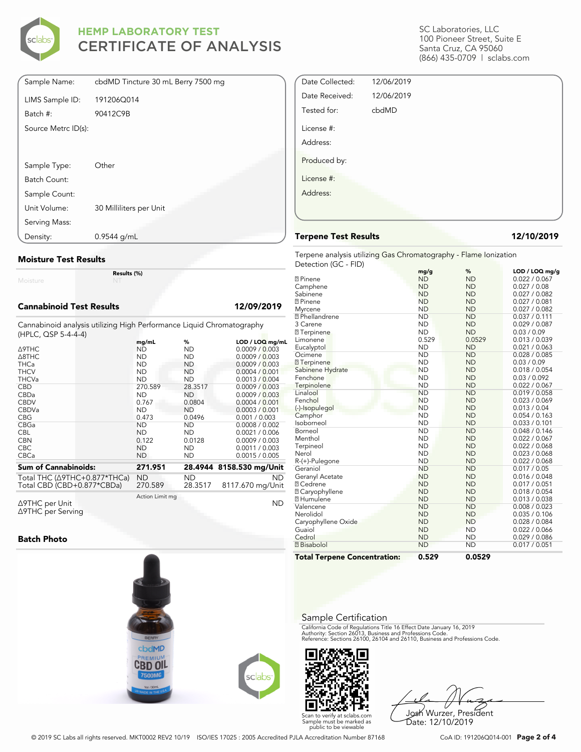

| Sample Name:        | cbdMD Tincture 30 mL Berry 7500 mg |
|---------------------|------------------------------------|
| LIMS Sample ID:     | 191206Q014                         |
| Batch #:            | 90412C9B                           |
| Source Metrc ID(s): |                                    |
|                     |                                    |
| Sample Type:        | Other                              |
| Batch Count:        |                                    |
| Sample Count:       |                                    |
| Unit Volume:        | 30 Milliliters per Unit            |
| Serving Mass:       |                                    |
| Density:            | $0.9544$ g/mL                      |

### **Moisture Test Results**

Moisture

### **Cannabinoid Test Results 12/09/2019**

Cannabinoid analysis utilizing High Performance Liquid Chromatography (HPLC, QSP 5-4-4-4)

**Results (%)**

|                                          | mg/mL           | %         | LOD / LOQ mg/mL          |
|------------------------------------------|-----------------|-----------|--------------------------|
| $\triangle$ 9THC                         | ND              | <b>ND</b> | 0.0009 / 0.003           |
| $\triangle$ 8THC                         | <b>ND</b>       | <b>ND</b> | 0.0009 / 0.003           |
| <b>THCa</b>                              | <b>ND</b>       | ND.       | 0.0009 / 0.003           |
| <b>THCV</b>                              | <b>ND</b>       | ND        | 0.0004 / 0.001           |
| <b>THCVa</b>                             | <b>ND</b>       | <b>ND</b> | 0.0013 / 0.004           |
| <b>CBD</b>                               | 270.589         | 28.3517   | 0.0009 / 0.003           |
| <b>CBDa</b>                              | <b>ND</b>       | <b>ND</b> | 0.0009 / 0.003           |
| <b>CBDV</b>                              | 0.767           | 0.0804    | 0.0004 / 0.001           |
| <b>CBDVa</b>                             | <b>ND</b>       | <b>ND</b> | 0.0003 / 0.001           |
| <b>CBG</b>                               | 0.473           | 0.0496    | 0.001 / 0.003            |
| CBGa                                     | <b>ND</b>       | <b>ND</b> | 0.0008 / 0.002           |
| <b>CBL</b>                               | <b>ND</b>       | ND.       | 0.0021 / 0.006           |
| <b>CBN</b>                               | 0.122           | 0.0128    | 0.0009 / 0.003           |
| <b>CBC</b>                               | <b>ND</b>       | <b>ND</b> | 0.0011 / 0.003           |
| <b>CBCa</b>                              | <b>ND</b>       | ND        | 0.0015 / 0.005           |
| <b>Sum of Cannabinoids:</b>              | 271.951         |           | 28.4944 8158.530 mg/Unit |
|                                          |                 |           |                          |
| Total THC ( $\triangle$ 9THC+0.877*THCa) | ND              | ND.       | <b>ND</b>                |
| Total CBD (CBD+0.877*CBDa)               | 270.589         | 28.3517   | 8117.670 mg/Unit         |
|                                          | Action Limit mg |           |                          |
| Δ9THC per Unit                           |                 |           | ND                       |

Δ9THC per Unit Δ9THC per Serving

### **Batch Photo**



**Total Terpene Concentration:**

### Sample Certification

California Code of Regulations Title 16 Effect Date January 16, 2019<br>Authority: Section 26013, Business and Professions Code.<br>Reference: Sections 26100, 26104 and 26110, Business and Professions Code.



Josh Wurzer, President Date: 12/10/2019

SC Laboratories, LLC 100 Pioneer Street, Suite E Santa Cruz, CA 95060 (866) 435-0709 | sclabs.com

| Date Collected: | 12/06/2019 |  |
|-----------------|------------|--|
| Date Received:  | 12/06/2019 |  |
| Tested for:     | cbdMD      |  |
| License #:      |            |  |
| Address:        |            |  |
| Produced by:    |            |  |
| License #:      |            |  |
| Address:        |            |  |
|                 |            |  |

### **Terpene Test Results 12/10/2019**

Terpene analysis utilizing Gas Chromatography - Flame Ionization Detection (GC - FID)

|                                     | mg/g      | %         | LOD / LOQ mg/g |
|-------------------------------------|-----------|-----------|----------------|
| <b>2</b> Pinene                     | <b>ND</b> | <b>ND</b> | 0.022 / 0.067  |
| Camphene                            | <b>ND</b> | <b>ND</b> | 0.027 / 0.08   |
| Sabinene                            | <b>ND</b> | <b>ND</b> | 0.027 / 0.082  |
| <b>7 Pinene</b>                     | <b>ND</b> | <b>ND</b> | 0.027 / 0.081  |
| Myrcene                             | <b>ND</b> | <b>ND</b> | 0.027 / 0.082  |
| <b>7</b> Phellandrene               | <b>ND</b> | <b>ND</b> | 0.037 / 0.111  |
| 3 Carene                            | <b>ND</b> | <b>ND</b> | 0.029 / 0.087  |
| <b>7</b> Terpinene                  | <b>ND</b> | <b>ND</b> | 0.03 / 0.09    |
| Limonene                            | 0.529     | 0.0529    | 0.013 / 0.039  |
| Eucalyptol                          | <b>ND</b> | <b>ND</b> | 0.021 / 0.063  |
| Ocimene                             | <b>ND</b> | <b>ND</b> | 0.028 / 0.085  |
| <b>7</b> Terpinene                  | <b>ND</b> | <b>ND</b> | 0.03 / 0.09    |
| Sabinene Hydrate                    | <b>ND</b> | <b>ND</b> | 0.018 / 0.054  |
| Fenchone                            | <b>ND</b> | <b>ND</b> | 0.03 / 0.092   |
| Terpinolene                         | <b>ND</b> | <b>ND</b> | 0.022 / 0.067  |
| Linalool                            | <b>ND</b> | <b>ND</b> | 0.019 / 0.058  |
| Fenchol                             | <b>ND</b> | <b>ND</b> | 0.023 / 0.069  |
| (-)-Isopulegol                      | <b>ND</b> | <b>ND</b> | 0.013 / 0.04   |
| Camphor                             | <b>ND</b> | <b>ND</b> | 0.054 / 0.163  |
| Isoborneol                          | <b>ND</b> | <b>ND</b> | 0.033 / 0.101  |
| Borneol                             | <b>ND</b> | <b>ND</b> | 0.048 / 0.146  |
| Menthol                             | <b>ND</b> | <b>ND</b> | 0.022 / 0.067  |
| Terpineol                           | <b>ND</b> | <b>ND</b> | 0.022 / 0.068  |
| Nerol                               | <b>ND</b> | <b>ND</b> | 0.023 / 0.068  |
| R-(+)-Pulegone                      | <b>ND</b> | <b>ND</b> | 0.022 / 0.068  |
| Geraniol                            | <b>ND</b> | <b>ND</b> | 0.017 / 0.05   |
| Geranyl Acetate                     | <b>ND</b> | <b>ND</b> | 0.016 / 0.048  |
| <b>7 Cedrene</b>                    | <b>ND</b> | <b>ND</b> | 0.017 / 0.051  |
| 7 Caryophyllene                     | <b>ND</b> | <b>ND</b> | 0.018 / 0.054  |
| <b>7 Humulene</b>                   | <b>ND</b> | <b>ND</b> | 0.013 / 0.038  |
| Valencene                           | <b>ND</b> | <b>ND</b> | 0.008 / 0.023  |
| Nerolidol                           | <b>ND</b> | <b>ND</b> | 0.035 / 0.106  |
| Caryophyllene Oxide                 | <b>ND</b> | <b>ND</b> | 0.028 / 0.084  |
| Guaiol                              | <b>ND</b> | <b>ND</b> | 0.022 / 0.066  |
| Cedrol                              | <b>ND</b> | <b>ND</b> | 0.029 / 0.086  |
| <b>7</b> Bisabolol                  | <b>ND</b> | <b>ND</b> | 0.017 / 0.051  |
| <b>Total Terpene Concentration:</b> | 0.529     | 0.0529    |                |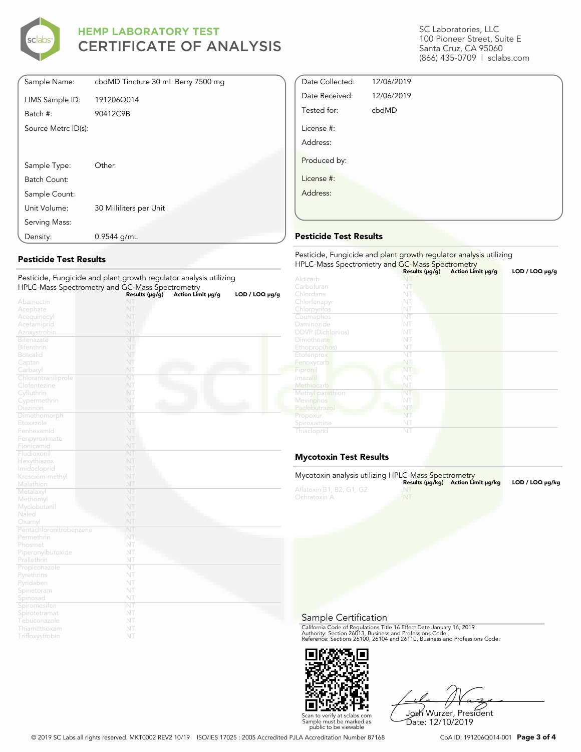

| Sample Name:        | cbdMD Tincture 30 mL Berry 7500 mg |
|---------------------|------------------------------------|
| LIMS Sample ID:     | 191206Q014                         |
| Batch #:            | 90412C9B                           |
| Source Metrc ID(s): |                                    |
|                     |                                    |
|                     |                                    |
| Sample Type:        | Other                              |
| Batch Count:        |                                    |
| Sample Count:       |                                    |
| Unit Volume:        | 30 Milliliters per Unit            |
| Serving Mass:       |                                    |
| Density:            | 0.9544 g/mL                        |

### **Pesticide Test Results**

| r esticiae, i angleiae and plant growth regulator analysis dtilizing |                |                   |                     |
|----------------------------------------------------------------------|----------------|-------------------|---------------------|
| HPLC-Mass Spectrometry and GC-Mass Spectrometry                      | Results (µg/g) | Action Limit µg/g | $LOD / LOQ \mu g/g$ |
| Abamectin                                                            | NT             |                   |                     |
| Acephate                                                             | NT             |                   |                     |
| Acequinocyl                                                          | NT             |                   |                     |
| Acetamiprid                                                          | NT             |                   |                     |
| Azoxystrobin                                                         | NT             |                   |                     |
| <b>Bifenazate</b>                                                    | NT             |                   |                     |
| <b>Bifenthrin</b>                                                    | NT             |                   |                     |
| <b>Boscalid</b>                                                      | NT             |                   |                     |
| Captan                                                               | NT             |                   |                     |
| Carbaryl                                                             | NT             |                   |                     |
| Chlorantraniliprole                                                  | NT             |                   |                     |
| Clofentezine                                                         | NT             |                   |                     |
| Cyfluthrin                                                           | NT             |                   |                     |
| Cypermethrin                                                         | NT             |                   |                     |
| Diazinon                                                             | NT             |                   |                     |
| Dimethomorph                                                         | NT             |                   |                     |
| Etoxazole                                                            | NT             |                   |                     |
| Fenhexamid                                                           | NT             |                   |                     |
| Fenpyroximate                                                        | NT             |                   |                     |
| Flonicamid                                                           | NT             |                   |                     |
| Fludioxonil                                                          | NT             |                   |                     |
| Hexythiazox                                                          | NT             |                   |                     |
| Imidacloprid                                                         | NT             |                   |                     |
| Kresoxim-methyl                                                      | NT             |                   |                     |
| Malathion                                                            | NT             |                   |                     |
| Metalaxyl                                                            | NT             |                   |                     |
| Methomyl                                                             | NT             |                   |                     |
| Myclobutanil                                                         | NT             |                   |                     |
| Naled                                                                | NT             |                   |                     |
| Oxamyl                                                               | NT             |                   |                     |
| Pentachloronitrobenzene                                              | NT             |                   |                     |
| Permethrin                                                           | NT             |                   |                     |
| Phosmet                                                              | NT             |                   |                     |
| Piperonylbutoxide                                                    | NT             |                   |                     |
| Prallethrin                                                          | NT             |                   |                     |
| Propiconazole                                                        | NT             |                   |                     |
| Pyrethrins                                                           | NT             |                   |                     |
| Pyridaben                                                            | NT             |                   |                     |
| Spinetoram                                                           | NT             |                   |                     |
| Spinosad                                                             | NT             |                   |                     |
| Spiromesifen                                                         | NT             |                   |                     |
| Spirotetramat                                                        | NT             |                   |                     |
| Tebuconazole                                                         | NT             |                   |                     |
| Thiamethoxam                                                         | NT             |                   |                     |
| Trifloxystrobin                                                      | NT             |                   |                     |

Pesticide, Fungicide and plant growth regulator analysis utilizing

### SC Laboratories, LLC 100 Pioneer Street, Suite E Santa Cruz, CA 95060 (866) 435-0709 | sclabs.com

| Date Collected: | 12/06/2019 |  |
|-----------------|------------|--|
| Date Received:  | 12/06/2019 |  |
| Tested for:     | cbdMD      |  |
| License #:      |            |  |
| Address:        |            |  |
| Produced by:    |            |  |
| License #:      |            |  |
| Address:        |            |  |
|                 |            |  |
|                 |            |  |

### **Pesticide Test Results**

| Pesticide, Fungicide and plant growth regulator analysis utilizing<br>HPLC-Mass Spectrometry and GC-Mass Spectrometry |                     |                   |                |  |
|-----------------------------------------------------------------------------------------------------------------------|---------------------|-------------------|----------------|--|
|                                                                                                                       | Results $(\mu g/g)$ | Action Limit µg/g | LOD / LOQ µg/g |  |
| Aldicarb                                                                                                              | NT                  |                   |                |  |
| Carbofuran                                                                                                            | NT                  |                   |                |  |
| Chlordane                                                                                                             | NT                  |                   |                |  |
| Chlorfenapyr                                                                                                          | NT                  |                   |                |  |
| Chlorpyrifos                                                                                                          | NT                  |                   |                |  |
| Coumaphos                                                                                                             | NT                  |                   |                |  |
| Daminozide                                                                                                            | NT                  |                   |                |  |
| <b>DDVP</b> (Dichlorvos)                                                                                              | NT                  |                   |                |  |
| Dimethoate                                                                                                            | NT                  |                   |                |  |
| Ethoprop(hos)                                                                                                         | NT                  |                   |                |  |
| Etofenprox                                                                                                            | NT                  |                   |                |  |
| Fenoxycarb                                                                                                            | NT                  |                   |                |  |
| Fipronil                                                                                                              | NT                  |                   |                |  |
| Imazalil                                                                                                              | NT                  |                   |                |  |
| Methiocarb                                                                                                            | NT                  |                   |                |  |
| Methyl parathion                                                                                                      | NT                  |                   |                |  |
| Mevinphos                                                                                                             | NT                  |                   |                |  |
| Paclobutrazol                                                                                                         | NT                  |                   |                |  |
| Propoxur                                                                                                              | NT                  |                   |                |  |
| Spiroxamine                                                                                                           | NT                  |                   |                |  |
| Thiacloprid                                                                                                           | NT                  |                   |                |  |

### **Mycotoxin Test Results**

| Mycotoxin analysis utilizing HPLC-Mass Spectrometry |           |                                    |                 |
|-----------------------------------------------------|-----------|------------------------------------|-----------------|
|                                                     |           | Results (µq/kq) Action Limit µq/kq | LOD / LOQ µq/kq |
| Aflatoxin B1, B2, G1, G2                            |           |                                    |                 |
| Ochratoxin A                                        | <b>NT</b> |                                    |                 |
|                                                     |           |                                    |                 |
|                                                     |           |                                    |                 |

Sample Certification

California Code of Regulations Title 16 Effect Date January 16, 2019<br>Authority: Section 26013, Business and Professions Code.<br>Reference: Sections 26100, 26104 and 26110, Business and Professions Code.



Josh Wurzer, President Date: 12/10/2019

© 2019 SC Labs all rights reserved. MKT0002 REV2 10/19 ISO/IES 17025 : 2005 Accredited PJLA Accreditation Number 87168 CoA ID: 191206Q014-001 **Page 3 of 4**